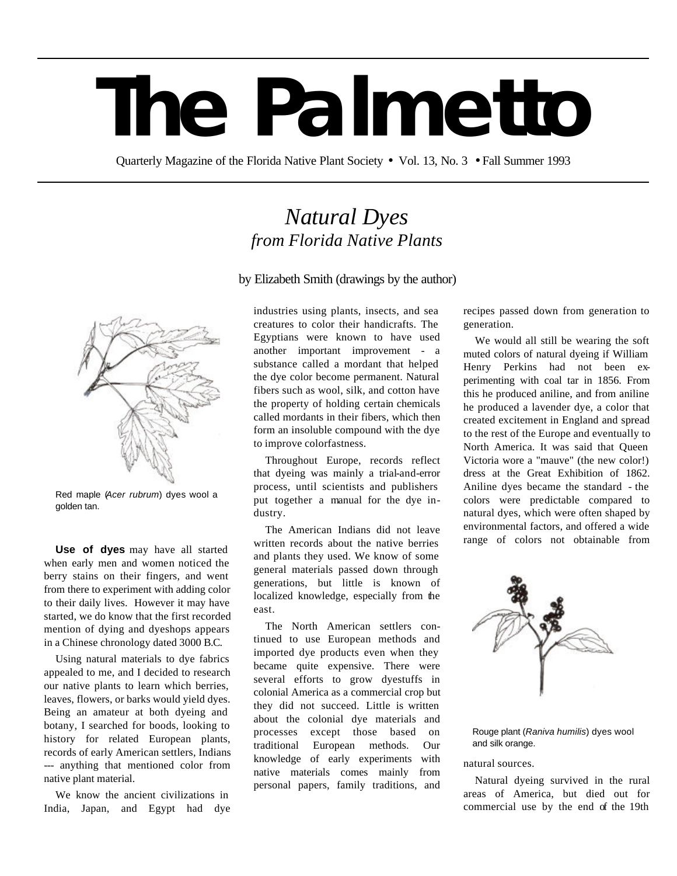## **The Palmetto**

Quarterly Magazine of the Florida Native Plant Society • Vol. 13, No. 3 • Fall Summer 1993

## *Natural Dyes from Florida Native Plants*

by Elizabeth Smith (drawings by the author)



Red maple (*Acer rubrum*) dyes wool a golden tan.

**Use of dyes** may have all started when early men and women noticed the berry stains on their fingers, and went from there to experiment with adding color to their daily lives. However it may have started, we do know that the first recorded mention of dying and dyeshops appears in a Chinese chronology dated 3000 B.C.

Using natural materials to dye fabrics appealed to me, and I decided to research our native plants to learn which berries, leaves, flowers, or barks would yield dyes. Being an amateur at both dyeing and botany, I searched for boods, looking to history for related European plants, records of early American settlers, Indians --- anything that mentioned color from native plant material.

We know the ancient civilizations in India, Japan, and Egypt had dye industries using plants, insects, and sea creatures to color their handicrafts. The Egyptians were known to have used another important improvement - a substance called a mordant that helped the dye color become permanent. Natural fibers such as wool, silk, and cotton have the property of holding certain chemicals called mordants in their fibers, which then form an insoluble compound with the dye to improve colorfastness.

Throughout Europe, records reflect that dyeing was mainly a trial-and-error process, until scientists and publishers put together a manual for the dye industry.

The American Indians did not leave written records about the native berries and plants they used. We know of some general materials passed down through generations, but little is known of localized knowledge, especially from the east.

The North American settlers continued to use European methods and imported dye products even when they became quite expensive. There were several efforts to grow dyestuffs in colonial America as a commercial crop but they did not succeed. Little is written about the colonial dye materials and processes except those based on traditional European methods. Our knowledge of early experiments with native materials comes mainly from personal papers, family traditions, and recipes passed down from generation to generation.

We would all still be wearing the soft muted colors of natural dyeing if William Henry Perkins had not been experimenting with coal tar in 1856. From this he produced aniline, and from aniline he produced a lavender dye, a color that created excitement in England and spread to the rest of the Europe and eventually to North America. It was said that Queen Victoria wore a "mauve" (the new color!) dress at the Great Exhibition of 1862. Aniline dyes became the standard - the colors were predictable compared to natural dyes, which were often shaped by environmental factors, and offered a wide range of colors not obtainable from



Rouge plant (*Raniva humilis*) dyes wool and silk orange.

## natural sources.

Natural dyeing survived in the rural areas of America, but died out for commercial use by the end of the 19th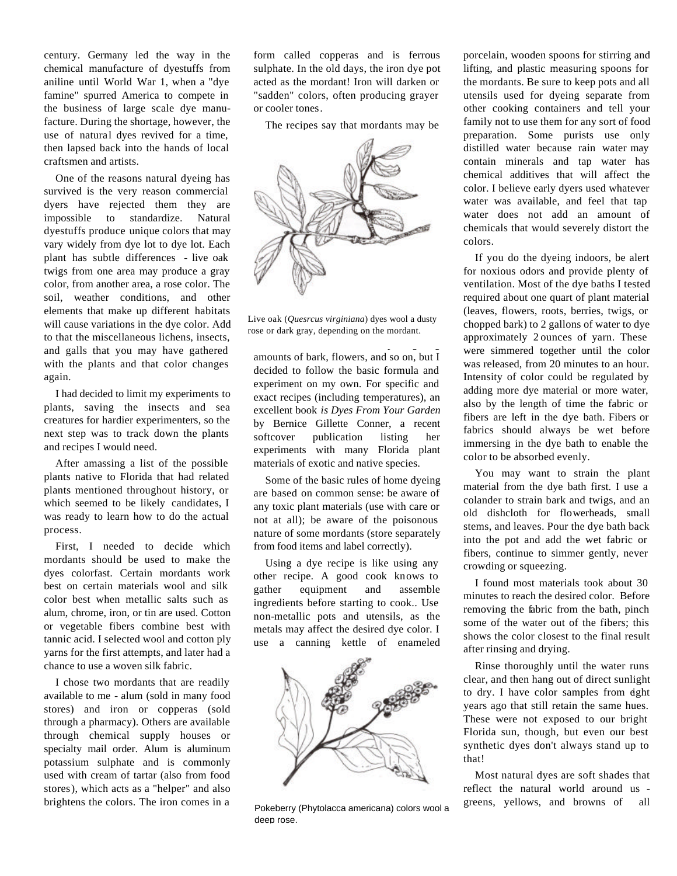century. Germany led the way in the chemical manufacture of dyestuffs from aniline until World War 1, when a "dye famine" spurred America to compete in the business of large scale dye manufacture. During the shortage, however, the use of natural dyes revived for a time, then lapsed back into the hands of local craftsmen and artists.

One of the reasons natural dyeing has survived is the very reason commercial dyers have rejected them they are impossible to standardize. Natural dyestuffs produce unique colors that may vary widely from dye lot to dye lot. Each plant has subtle differences - live oak twigs from one area may produce a gray color, from another area, a rose color. The soil, weather conditions, and other elements that make up different habitats will cause variations in the dye color. Add to that the miscellaneous lichens, insects, and galls that you may have gathered with the plants and that color changes again.

I had decided to limit my experiments to plants, saving the insects and sea creatures for hardier experimenters, so the next step was to track down the plants and recipes I would need.

After amassing a list of the possible plants native to Florida that had related plants mentioned throughout history, or which seemed to be likely candidates, I was ready to learn how to do the actual process.

First, I needed to decide which mordants should be used to make the dyes colorfast. Certain mordants work best on certain materials wool and silk color best when metallic salts such as alum, chrome, iron, or tin are used. Cotton or vegetable fibers combine best with tannic acid. I selected wool and cotton ply yarns for the first attempts, and later had a chance to use a woven silk fabric.

I chose two mordants that are readily available to me - alum (sold in many food stores) and iron or copperas (sold through a pharmacy). Others are available through chemical supply houses or specialty mail order. Alum is aluminum potassium sulphate and is commonly used with cream of tartar (also from food stores), which acts as a "helper" and also brightens the colors. The iron comes in a

form called copperas and is ferrous sulphate. In the old days, the iron dye pot acted as the mordant! Iron will darken or "sadden" colors, often producing grayer or cooler tones.

The recipes say that mordants may be



Live oak (*Quesrcus virginiana*) dyes wool a dusty rose or dark gray, depending on the mordant.

I did find several recipes giving

amounts of bark, flowers, and so on, but I decided to follow the basic formula and experiment on my own. For specific and exact recipes (including temperatures), an excellent book *is Dyes From Your Garden*  by Bernice Gillette Conner, a recent softcover publication listing her experiments with many Florida plant materials of exotic and native species.

Some of the basic rules of home dyeing are based on common sense: be aware of any toxic plant materials (use with care or not at all); be aware of the poisonous nature of some mordants (store separately from food items and label correctly).

Using a dye recipe is like using any other recipe. A good cook knows to gather equipment and assemble ingredients before starting to cook.. Use non-metallic pots and utensils, as the metals may affect the desired dye color. I use a canning kettle of enameled



Pokeberry (Phytolacca americana) colors wool a deep rose.

porcelain, wooden spoons for stirring and lifting, and plastic measuring spoons for the mordants. Be sure to keep pots and all utensils used for dyeing separate from other cooking containers and tell your family not to use them for any sort of food preparation. Some purists use only distilled water because rain water may contain minerals and tap water has chemical additives that will affect the color. I believe early dyers used whatever water was available, and feel that tap water does not add an amount of chemicals that would severely distort the colors.

If you do the dyeing indoors, be alert for noxious odors and provide plenty of ventilation. Most of the dye baths I tested required about one quart of plant material (leaves, flowers, roots, berries, twigs, or chopped bark) to 2 gallons of water to dye approximately 2 ounces of yarn. These were simmered together until the color was released, from 20 minutes to an hour. Intensity of color could be regulated by adding more dye material or more water, also by the length of time the fabric or fibers are left in the dye bath. Fibers or fabrics should always be wet before immersing in the dye bath to enable the color to be absorbed evenly.

You may want to strain the plant material from the dye bath first. I use a colander to strain bark and twigs, and an old dishcloth for flowerheads, small stems, and leaves. Pour the dye bath back into the pot and add the wet fabric or fibers, continue to simmer gently, never crowding or squeezing.

I found most materials took about 30 minutes to reach the desired color. Before removing the fabric from the bath, pinch some of the water out of the fibers; this shows the color closest to the final result after rinsing and drying.

Rinse thoroughly until the water runs clear, and then hang out of direct sunlight to dry. I have color samples from eight years ago that still retain the same hues. These were not exposed to our bright Florida sun, though, but even our best synthetic dyes don't always stand up to that!

Most natural dyes are soft shades that reflect the natural world around us greens, yellows, and browns of all